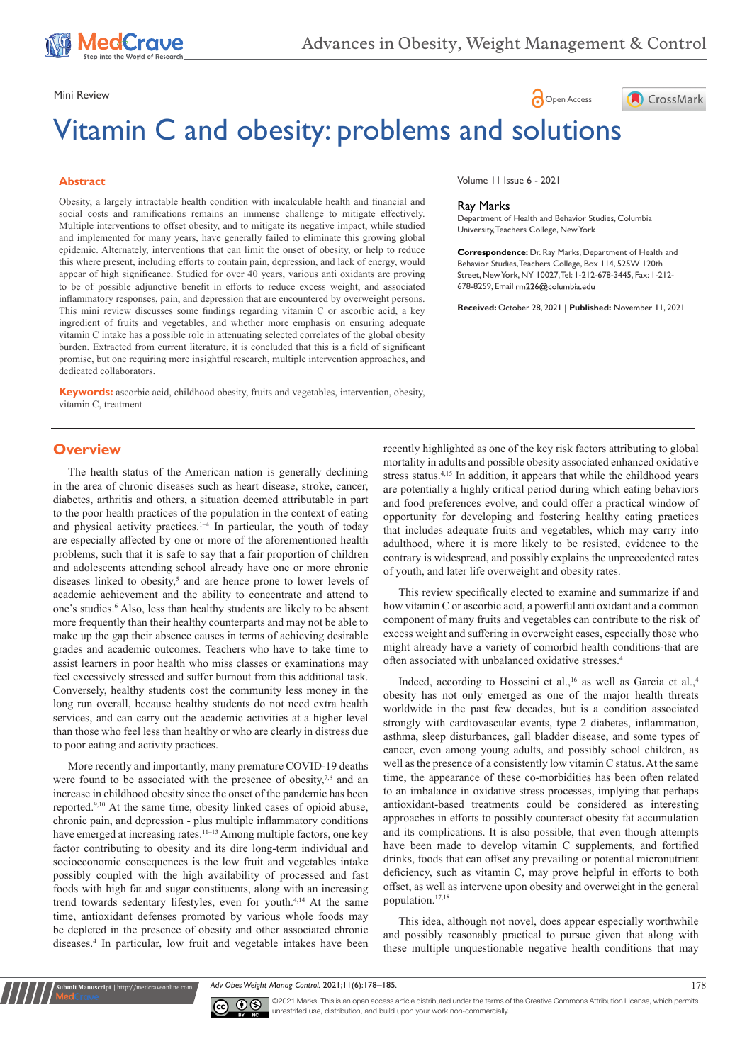

Mini Review **Open Access** 

# Vitamin C and obesity: problems and solutions

### **Abstract**

Obesity, a largely intractable health condition with incalculable health and financial and social costs and ramifications remains an immense challenge to mitigate effectively. Multiple interventions to offset obesity, and to mitigate its negative impact, while studied and implemented for many years, have generally failed to eliminate this growing global epidemic. Alternately, interventions that can limit the onset of obesity, or help to reduce this where present, including efforts to contain pain, depression, and lack of energy, would appear of high significance. Studied for over 40 years, various anti oxidants are proving to be of possible adjunctive benefit in efforts to reduce excess weight, and associated inflammatory responses, pain, and depression that are encountered by overweight persons. This mini review discusses some findings regarding vitamin C or ascorbic acid, a key ingredient of fruits and vegetables, and whether more emphasis on ensuring adequate vitamin C intake has a possible role in attenuating selected correlates of the global obesity burden. Extracted from current literature, it is concluded that this is a field of significant promise, but one requiring more insightful research, multiple intervention approaches, and dedicated collaborators.

**Keywords:** ascorbic acid, childhood obesity, fruits and vegetables, intervention, obesity, vitamin C, treatment

Volume 11 Issue 6 - 2021

#### Ray Marks

Department of Health and Behavior Studies, Columbia University, Teachers College, New York

**Correspondence:** Dr. Ray Marks, Department of Health and Behavior Studies, Teachers College, Box 114, 525W 120th Street, New York, NY 10027, Tel: 1-212-678-3445, Fax: 1-212- 678-8259, Email rm226@columbia.edu

CrossMark

**Received:** October 28, 2021 | **Published:** November 11, 2021

### **Overview**

The health status of the American nation is generally declining in the area of chronic diseases such as heart disease, stroke, cancer, diabetes, arthritis and others, a situation deemed attributable in part to the poor health practices of the population in the context of eating and physical activity practices. $1-4$  In particular, the youth of today are especially affected by one or more of the aforementioned health problems, such that it is safe to say that a fair proportion of children and adolescents attending school already have one or more chronic diseases linked to obesity,<sup>5</sup> and are hence prone to lower levels of academic achievement and the ability to concentrate and attend to one's studies.6 Also, less than healthy students are likely to be absent more frequently than their healthy counterparts and may not be able to make up the gap their absence causes in terms of achieving desirable grades and academic outcomes. Teachers who have to take time to assist learners in poor health who miss classes or examinations may feel excessively stressed and suffer burnout from this additional task. Conversely, healthy students cost the community less money in the long run overall, because healthy students do not need extra health services, and can carry out the academic activities at a higher level than those who feel less than healthy or who are clearly in distress due to poor eating and activity practices.

More recently and importantly, many premature COVID-19 deaths were found to be associated with the presence of obesity,<sup>7,8</sup> and an increase in childhood obesity since the onset of the pandemic has been reported.9,10 At the same time, obesity linked cases of opioid abuse, chronic pain, and depression - plus multiple inflammatory conditions have emerged at increasing rates.<sup>11-13</sup> Among multiple factors, one key factor contributing to obesity and its dire long-term individual and socioeconomic consequences is the low fruit and vegetables intake possibly coupled with the high availability of processed and fast foods with high fat and sugar constituents, along with an increasing trend towards sedentary lifestyles, even for youth.4,14 At the same time, antioxidant defenses promoted by various whole foods may be depleted in the presence of obesity and other associated chronic diseases.4 In particular, low fruit and vegetable intakes have been recently highlighted as one of the key risk factors attributing to global mortality in adults and possible obesity associated enhanced oxidative stress status.4,15 In addition, it appears that while the childhood years are potentially a highly critical period during which eating behaviors and food preferences evolve, and could offer a practical window of opportunity for developing and fostering healthy eating practices that includes adequate fruits and vegetables, which may carry into adulthood, where it is more likely to be resisted, evidence to the contrary is widespread, and possibly explains the unprecedented rates of youth, and later life overweight and obesity rates.

This review specifically elected to examine and summarize if and how vitamin C or ascorbic acid, a powerful anti oxidant and a common component of many fruits and vegetables can contribute to the risk of excess weight and suffering in overweight cases, especially those who might already have a variety of comorbid health conditions-that are often associated with unbalanced oxidative stresses.4

Indeed, according to Hosseini et al.,<sup>16</sup> as well as Garcia et al.,<sup>4</sup> obesity has not only emerged as one of the major health threats worldwide in the past few decades, but is a condition associated strongly with cardiovascular events, type 2 diabetes, inflammation, asthma, sleep disturbances, gall bladder disease, and some types of cancer, even among young adults, and possibly school children, as well as the presence of a consistently low vitamin C status. At the same time, the appearance of these co-morbidities has been often related to an imbalance in oxidative stress processes, implying that perhaps antioxidant-based treatments could be considered as interesting approaches in efforts to possibly counteract obesity fat accumulation and its complications. It is also possible, that even though attempts have been made to develop vitamin C supplements, and fortified drinks, foods that can offset any prevailing or potential micronutrient deficiency, such as vitamin C, may prove helpful in efforts to both offset, as well as intervene upon obesity and overweight in the general population.17,18

This idea, although not novel, does appear especially worthwhile and possibly reasonably practical to pursue given that along with these multiple unquestionable negative health conditions that may

*Adv Obes Weight Manag Control.* 2021;11(6):178‒185. 178



**Krit Manuscript** | http://medcraveonline.c

©2021 Marks. This is an open access article distributed under the terms of the Creative Commons Attribution License, which permits unrestrited use, distribution, and build upon your work non-commercially.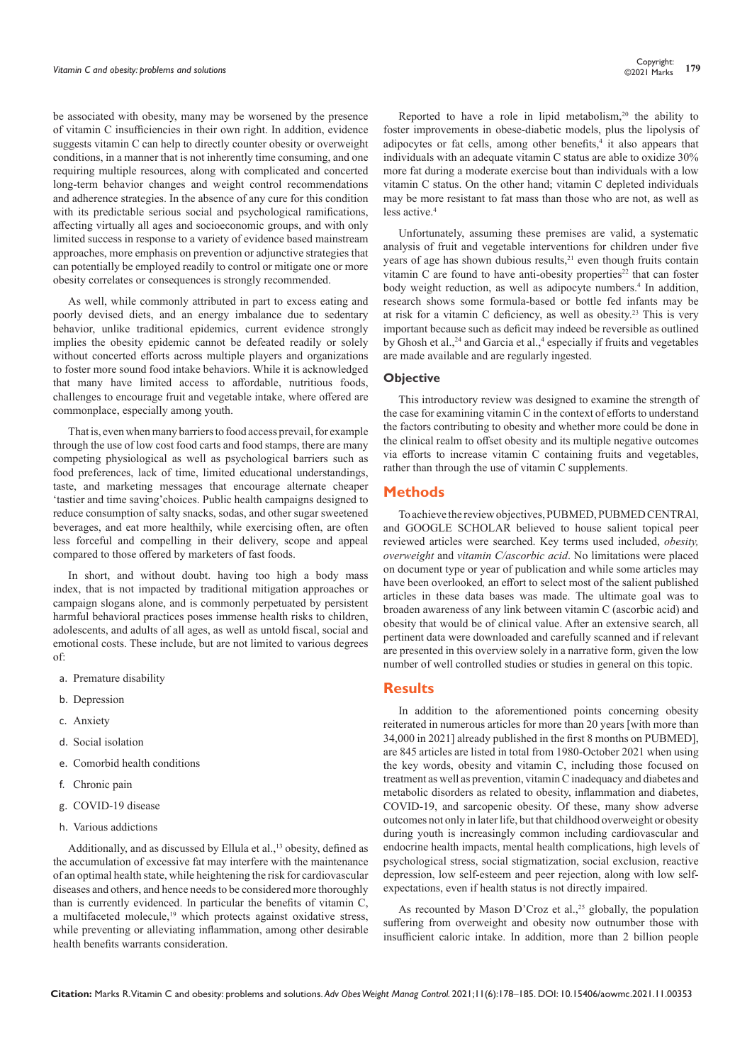be associated with obesity, many may be worsened by the presence of vitamin C insufficiencies in their own right. In addition, evidence suggests vitamin C can help to directly counter obesity or overweight conditions, in a manner that is not inherently time consuming, and one requiring multiple resources, along with complicated and concerted long-term behavior changes and weight control recommendations and adherence strategies. In the absence of any cure for this condition with its predictable serious social and psychological ramifications, affecting virtually all ages and socioeconomic groups, and with only limited success in response to a variety of evidence based mainstream approaches, more emphasis on prevention or adjunctive strategies that can potentially be employed readily to control or mitigate one or more obesity correlates or consequences is strongly recommended.

As well, while commonly attributed in part to excess eating and poorly devised diets, and an energy imbalance due to sedentary behavior, unlike traditional epidemics, current evidence strongly implies the obesity epidemic cannot be defeated readily or solely without concerted efforts across multiple players and organizations to foster more sound food intake behaviors. While it is acknowledged that many have limited access to affordable, nutritious foods, challenges to encourage fruit and vegetable intake, where offered are commonplace, especially among youth.

That is, even when many barriers to food access prevail, for example through the use of low cost food carts and food stamps, there are many competing physiological as well as psychological barriers such as food preferences, lack of time, limited educational understandings, taste, and marketing messages that encourage alternate cheaper 'tastier and time saving'choices. Public health campaigns designed to reduce consumption of salty snacks, sodas, and other sugar sweetened beverages, and eat more healthily, while exercising often, are often less forceful and compelling in their delivery, scope and appeal compared to those offered by marketers of fast foods.

In short, and without doubt. having too high a body mass index, that is not impacted by traditional mitigation approaches or campaign slogans alone, and is commonly perpetuated by persistent harmful behavioral practices poses immense health risks to children, adolescents, and adults of all ages, as well as untold fiscal, social and emotional costs. These include, but are not limited to various degrees of:

- a. Premature disability
- b. Depression
- c. Anxiety
- d. Social isolation
- e. Comorbid health conditions
- f. Chronic pain
- g. COVID-19 disease
- h. Various addictions

Additionally, and as discussed by Ellula et al.,<sup>13</sup> obesity, defined as the accumulation of excessive fat may interfere with the maintenance of an optimal health state, while heightening the risk for cardiovascular diseases and others, and hence needs to be considered more thoroughly than is currently evidenced. In particular the benefits of vitamin C, a multifaceted molecule,<sup>19</sup> which protects against oxidative stress, while preventing or alleviating inflammation, among other desirable health benefits warrants consideration.

Reported to have a role in lipid metabolism,<sup>20</sup> the ability to foster improvements in obese-diabetic models, plus the lipolysis of adipocytes or fat cells, among other benefits,<sup>4</sup> it also appears that individuals with an adequate vitamin C status are able to oxidize 30% more fat during a moderate exercise bout than individuals with a low vitamin C status. On the other hand; vitamin C depleted individuals may be more resistant to fat mass than those who are not, as well as less active.4

Unfortunately, assuming these premises are valid, a systematic analysis of fruit and vegetable interventions for children under five years of age has shown dubious results,<sup>21</sup> even though fruits contain vitamin C are found to have anti-obesity properties<sup>22</sup> that can foster body weight reduction, as well as adipocyte numbers.<sup>4</sup> In addition, research shows some formula-based or bottle fed infants may be at risk for a vitamin C deficiency, as well as obesity.23 This is very important because such as deficit may indeed be reversible as outlined by Ghosh et al.,<sup>24</sup> and Garcia et al.,<sup>4</sup> especially if fruits and vegetables are made available and are regularly ingested.

### **Objective**

This introductory review was designed to examine the strength of the case for examining vitamin C in the context of efforts to understand the factors contributing to obesity and whether more could be done in the clinical realm to offset obesity and its multiple negative outcomes via efforts to increase vitamin C containing fruits and vegetables, rather than through the use of vitamin C supplements.

### **Methods**

To achieve the review objectives, PUBMED, PUBMED CENTRAl, and GOOGLE SCHOLAR believed to house salient topical peer reviewed articles were searched. Key terms used included, *obesity, overweight* and *vitamin C/ascorbic acid*. No limitations were placed on document type or year of publication and while some articles may have been overlooked*,* an effort to select most of the salient published articles in these data bases was made. The ultimate goal was to broaden awareness of any link between vitamin C (ascorbic acid) and obesity that would be of clinical value. After an extensive search, all pertinent data were downloaded and carefully scanned and if relevant are presented in this overview solely in a narrative form, given the low number of well controlled studies or studies in general on this topic.

# **Results**

In addition to the aforementioned points concerning obesity reiterated in numerous articles for more than 20 years [with more than 34,000 in 2021] already published in the first 8 months on PUBMED], are 845 articles are listed in total from 1980-October 2021 when using the key words, obesity and vitamin C, including those focused on treatment as well as prevention, vitamin C inadequacy and diabetes and metabolic disorders as related to obesity, inflammation and diabetes, COVID-19, and sarcopenic obesity. Of these, many show adverse outcomes not only in later life, but that childhood overweight or obesity during youth is increasingly common including cardiovascular and endocrine health impacts, mental health complications, high levels of psychological stress, social stigmatization, social exclusion, reactive depression, low self-esteem and peer rejection, along with low selfexpectations, even if health status is not directly impaired.

As recounted by Mason D'Croz et al.,<sup>25</sup> globally, the population suffering from overweight and obesity now outnumber those with insufficient caloric intake. In addition, more than 2 billion people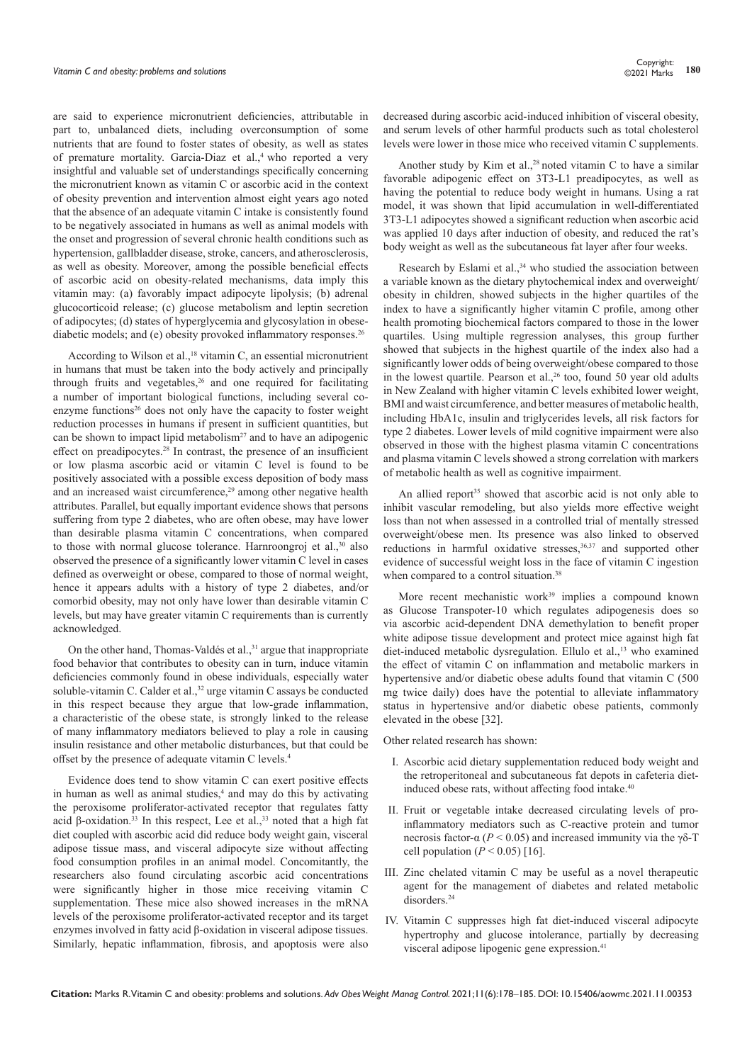are said to experience micronutrient deficiencies, attributable in part to, unbalanced diets, including overconsumption of some nutrients that are found to foster states of obesity, as well as states of premature mortality. Garcia-Diaz et al.,<sup>4</sup> who reported a very insightful and valuable set of understandings specifically concerning the micronutrient known as vitamin C or ascorbic acid in the context of obesity prevention and intervention almost eight years ago noted that the absence of an adequate vitamin C intake is consistently found to be negatively associated in humans as well as animal models with the onset and progression of several chronic health conditions such as hypertension, gallbladder disease, stroke, cancers, and atherosclerosis, as well as obesity. Moreover, among the possible beneficial effects of ascorbic acid on obesity-related mechanisms, data imply this vitamin may: (a) favorably impact adipocyte lipolysis; (b) adrenal glucocorticoid release; (c) glucose metabolism and leptin secretion of adipocytes; (d) states of hyperglycemia and glycosylation in obesediabetic models; and (e) obesity provoked inflammatory responses.<sup>26</sup>

According to Wilson et al.,<sup>18</sup> vitamin C, an essential micronutrient in humans that must be taken into the body actively and principally through fruits and vegetables,<sup>26</sup> and one required for facilitating a number of important biological functions, including several coenzyme functions<sup>26</sup> does not only have the capacity to foster weight reduction processes in humans if present in sufficient quantities, but can be shown to impact lipid metabolism<sup>27</sup> and to have an adipogenic effect on preadipocytes.<sup>28</sup> In contrast, the presence of an insufficient or low plasma ascorbic acid or vitamin C level is found to be positively associated with a possible excess deposition of body mass and an increased waist circumference,<sup>29</sup> among other negative health attributes. Parallel, but equally important evidence shows that persons suffering from type 2 diabetes, who are often obese, may have lower than desirable plasma vitamin C concentrations, when compared to those with normal glucose tolerance. Harnroongroj et al.,<sup>30</sup> also observed the presence of a significantly lower vitamin C level in cases defined as overweight or obese, compared to those of normal weight, hence it appears adults with a history of type 2 diabetes, and/or comorbid obesity, may not only have lower than desirable vitamin C levels, but may have greater vitamin C requirements than is currently acknowledged.

On the other hand, Thomas-Valdés et al.,<sup>31</sup> argue that inappropriate food behavior that contributes to obesity can in turn, induce vitamin deficiencies commonly found in obese individuals, especially water soluble-vitamin C. Calder et al.,<sup>32</sup> urge vitamin C assays be conducted in this respect because they argue that low-grade inflammation, a characteristic of the obese state, is strongly linked to the release of many inflammatory mediators believed to play a role in causing insulin resistance and other metabolic disturbances, but that could be offset by the presence of adequate vitamin C levels.<sup>4</sup>

Evidence does tend to show vitamin C can exert positive effects in human as well as animal studies,<sup>4</sup> and may do this by activating the peroxisome proliferator-activated receptor that regulates fatty acid β-oxidation.<sup>33</sup> In this respect, Lee et al.,<sup>33</sup> noted that a high fat diet coupled with ascorbic acid did reduce body weight gain, visceral adipose tissue mass, and visceral adipocyte size without affecting food consumption profiles in an animal model. Concomitantly, the researchers also found circulating ascorbic acid concentrations were significantly higher in those mice receiving vitamin C supplementation. These mice also showed increases in the mRNA levels of the peroxisome proliferator-activated receptor and its target enzymes involved in fatty acid β-oxidation in visceral adipose tissues. Similarly, hepatic inflammation, fibrosis, and apoptosis were also

decreased during ascorbic acid-induced inhibition of visceral obesity, and serum levels of other harmful products such as total cholesterol levels were lower in those mice who received vitamin C supplements.

Another study by Kim et al.,<sup>28</sup> noted vitamin C to have a similar favorable adipogenic effect on 3T3-L1 preadipocytes, as well as having the potential to reduce body weight in humans. Using a rat model, it was shown that lipid accumulation in well-differentiated 3T3-L1 adipocytes showed a significant reduction when ascorbic acid was applied 10 days after induction of obesity, and reduced the rat's body weight as well as the subcutaneous fat layer after four weeks.

Research by Eslami et al.,<sup>34</sup> who studied the association between a variable known as the dietary phytochemical index and overweight/ obesity in children, showed subjects in the higher quartiles of the index to have a significantly higher vitamin C profile, among other health promoting biochemical factors compared to those in the lower quartiles. Using multiple regression analyses, this group further showed that subjects in the highest quartile of the index also had a significantly lower odds of being overweight/obese compared to those in the lowest quartile. Pearson et al.,<sup>26</sup> too, found 50 year old adults in New Zealand with higher vitamin C levels exhibited lower weight, BMI and waist circumference, and better measures of metabolic health, including HbA1c, insulin and triglycerides levels, all risk factors for type 2 diabetes. Lower levels of mild cognitive impairment were also observed in those with the highest plasma vitamin C concentrations and plasma vitamin C levels showed a strong correlation with markers of metabolic health as well as cognitive impairment.

An allied report<sup>35</sup> showed that ascorbic acid is not only able to inhibit vascular remodeling, but also yields more effective weight loss than not when assessed in a controlled trial of mentally stressed overweight/obese men. Its presence was also linked to observed reductions in harmful oxidative stresses,<sup>36,37</sup> and supported other evidence of successful weight loss in the face of vitamin C ingestion when compared to a control situation.<sup>38</sup>

More recent mechanistic work<sup>39</sup> implies a compound known as Glucose Transpoter-10 which regulates adipogenesis does so via ascorbic acid-dependent DNA demethylation to benefit proper white adipose tissue development and protect mice against high fat diet-induced metabolic dysregulation. Ellulo et al.,<sup>13</sup> who examined the effect of vitamin C on inflammation and metabolic markers in hypertensive and/or diabetic obese adults found that vitamin C (500 mg twice daily) does have the potential to alleviate inflammatory status in hypertensive and/or diabetic obese patients, commonly elevated in the obese [32].

Other related research has shown:

- I. Ascorbic acid dietary supplementation reduced body weight and the retroperitoneal and subcutaneous fat depots in cafeteria dietinduced obese rats, without affecting food intake.<sup>40</sup>
- II. Fruit or vegetable intake decreased circulating levels of proinflammatory mediators such as C-reactive protein and tumor necrosis factor-α (*P* < 0.05) and increased immunity via the γδ-T cell population  $(P < 0.05)$  [16].
- III. Zinc chelated vitamin C may be useful as a novel therapeutic agent for the management of diabetes and related metabolic disorders.<sup>24</sup>
- IV. Vitamin C suppresses high fat diet-induced visceral adipocyte hypertrophy and glucose intolerance, partially by decreasing visceral adipose lipogenic gene expression.<sup>41</sup>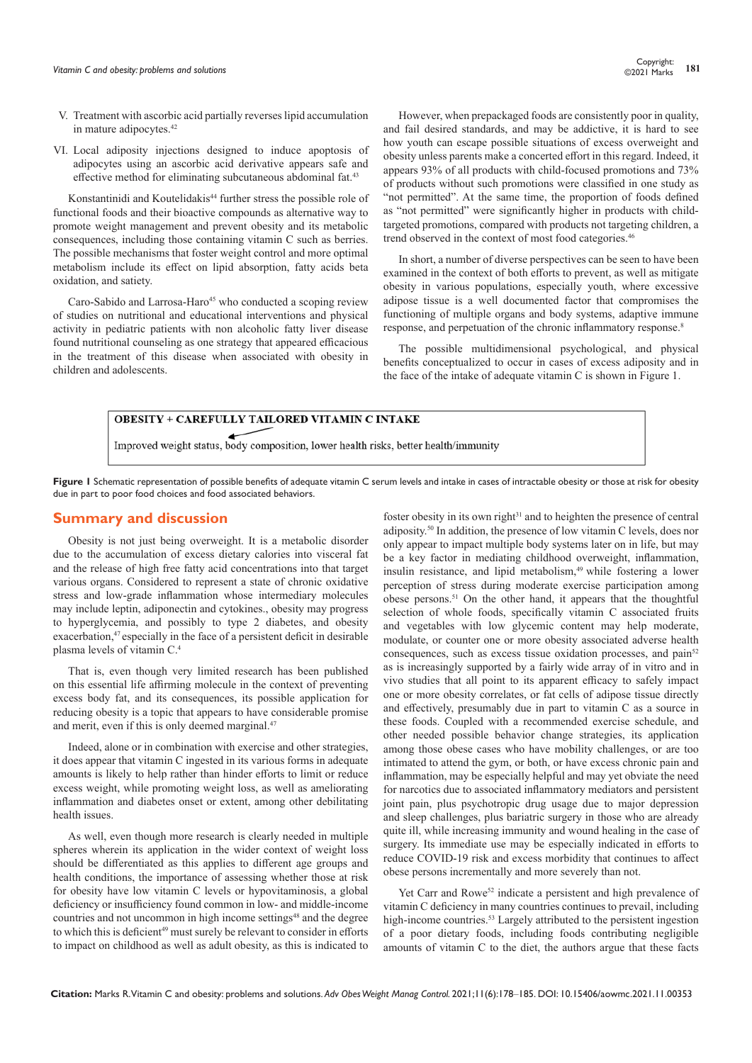- V. Treatment with ascorbic acid partially reverses lipid accumulation in mature adipocytes.42
- VI. Local adiposity injections designed to induce apoptosis of adipocytes using an ascorbic acid derivative appears safe and effective method for eliminating subcutaneous abdominal fat.<sup>43</sup>

Konstantinidi and Koutelidakis<sup>44</sup> further stress the possible role of functional foods and their bioactive compounds as alternative way to promote weight management and prevent obesity and its metabolic consequences, including those containing vitamin C such as berries. The possible mechanisms that foster weight control and more optimal metabolism include its effect on lipid absorption, fatty acids beta oxidation, and satiety.

Caro-Sabido and Larrosa-Haro<sup>45</sup> who conducted a scoping review of studies on nutritional and educational interventions and physical activity in pediatric patients with non alcoholic fatty liver disease found nutritional counseling as one strategy that appeared efficacious in the treatment of this disease when associated with obesity in children and adolescents.

However, when prepackaged foods are consistently poor in quality, and fail desired standards, and may be addictive, it is hard to see how youth can escape possible situations of excess overweight and obesity unless parents make a concerted effort in this regard. Indeed, it appears 93% of all products with child-focused promotions and 73% of products without such promotions were classified in one study as "not permitted". At the same time, the proportion of foods defined as "not permitted" were significantly higher in products with childtargeted promotions, compared with products not targeting children, a trend observed in the context of most food categories.<sup>46</sup>

In short, a number of diverse perspectives can be seen to have been examined in the context of both efforts to prevent, as well as mitigate obesity in various populations, especially youth, where excessive adipose tissue is a well documented factor that compromises the functioning of multiple organs and body systems, adaptive immune response, and perpetuation of the chronic inflammatory response.<sup>8</sup>

The possible multidimensional psychological, and physical benefits conceptualized to occur in cases of excess adiposity and in the face of the intake of adequate vitamin C is shown in Figure 1.

# **OBESITY + CAREFULLY TAILORED VITAMIN C INTAKE** Improved weight status, body composition, lower health risks, better health/immunity

Figure 1 Schematic representation of possible benefits of adequate vitamin C serum levels and intake in cases of intractable obesity or those at risk for obesity due in part to poor food choices and food associated behaviors.

# **Summary and discussion**

Obesity is not just being overweight. It is a metabolic disorder due to the accumulation of excess dietary calories into visceral fat and the release of high free fatty acid concentrations into that target various organs. Considered to represent a state of chronic oxidative stress and low-grade inflammation whose intermediary molecules may include leptin, adiponectin and cytokines., obesity may progress to hyperglycemia, and possibly to type 2 diabetes, and obesity exacerbation,<sup>47</sup> especially in the face of a persistent deficit in desirable plasma levels of vitamin C.4

That is, even though very limited research has been published on this essential life affirming molecule in the context of preventing excess body fat, and its consequences, its possible application for reducing obesity is a topic that appears to have considerable promise and merit, even if this is only deemed marginal.<sup>47</sup>

Indeed, alone or in combination with exercise and other strategies, it does appear that vitamin C ingested in its various forms in adequate amounts is likely to help rather than hinder efforts to limit or reduce excess weight, while promoting weight loss, as well as ameliorating inflammation and diabetes onset or extent, among other debilitating health issues.

As well, even though more research is clearly needed in multiple spheres wherein its application in the wider context of weight loss should be differentiated as this applies to different age groups and health conditions, the importance of assessing whether those at risk for obesity have low vitamin C levels or hypovitaminosis, a global deficiency or insufficiency found common in low- and middle-income countries and not uncommon in high income settings<sup>48</sup> and the degree to which this is deficient<sup>49</sup> must surely be relevant to consider in efforts to impact on childhood as well as adult obesity, as this is indicated to

foster obesity in its own right $31$  and to heighten the presence of central adiposity.50 In addition, the presence of low vitamin C levels, does nor only appear to impact multiple body systems later on in life, but may be a key factor in mediating childhood overweight, inflammation, insulin resistance, and lipid metabolism,<sup>49</sup> while fostering a lower perception of stress during moderate exercise participation among obese persons.51 On the other hand, it appears that the thoughtful selection of whole foods, specifically vitamin C associated fruits and vegetables with low glycemic content may help moderate, modulate, or counter one or more obesity associated adverse health consequences, such as excess tissue oxidation processes, and pain<sup>52</sup> as is increasingly supported by a fairly wide array of in vitro and in vivo studies that all point to its apparent efficacy to safely impact one or more obesity correlates, or fat cells of adipose tissue directly and effectively, presumably due in part to vitamin C as a source in these foods. Coupled with a recommended exercise schedule, and other needed possible behavior change strategies, its application among those obese cases who have mobility challenges, or are too intimated to attend the gym, or both, or have excess chronic pain and inflammation, may be especially helpful and may yet obviate the need for narcotics due to associated inflammatory mediators and persistent joint pain, plus psychotropic drug usage due to major depression and sleep challenges, plus bariatric surgery in those who are already quite ill, while increasing immunity and wound healing in the case of surgery. Its immediate use may be especially indicated in efforts to reduce COVID-19 risk and excess morbidity that continues to affect obese persons incrementally and more severely than not.

Yet Carr and Rowe<sup>52</sup> indicate a persistent and high prevalence of vitamin C deficiency in many countries continues to prevail, including high-income countries.<sup>53</sup> Largely attributed to the persistent ingestion of a poor dietary foods, including foods contributing negligible amounts of vitamin C to the diet, the authors argue that these facts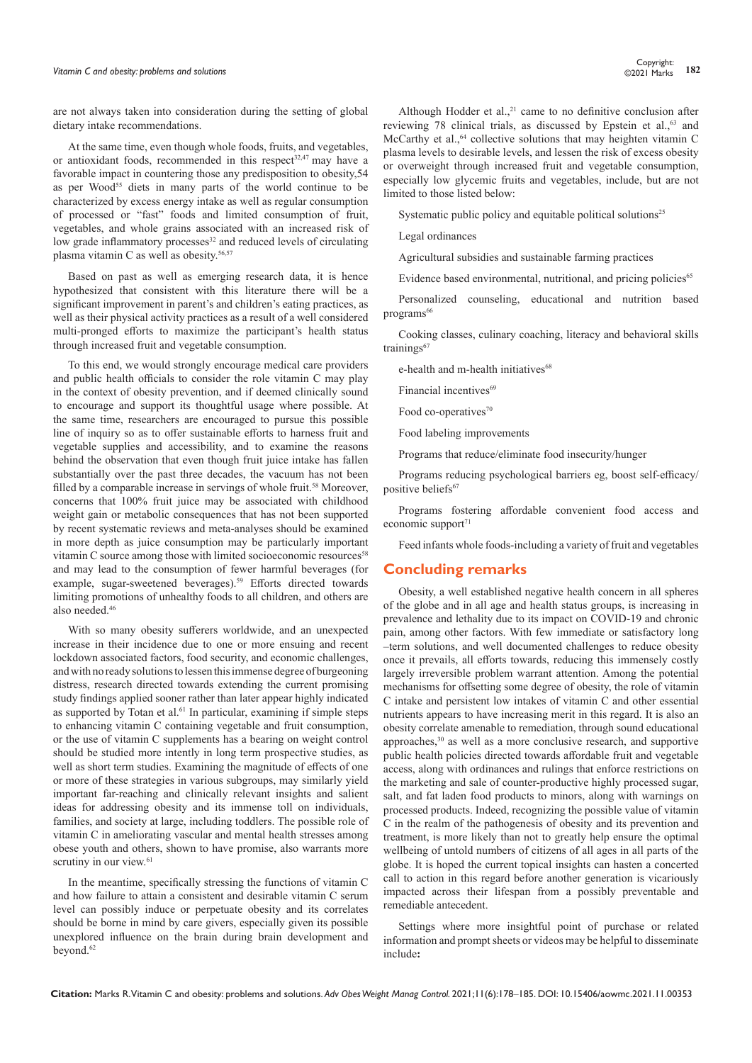are not always taken into consideration during the setting of global dietary intake recommendations.

At the same time, even though whole foods, fruits, and vegetables, or antioxidant foods, recommended in this respect<sup>32,47</sup> may have a favorable impact in countering those any predisposition to obesity,54 as per Wood<sup>55</sup> diets in many parts of the world continue to be characterized by excess energy intake as well as regular consumption of processed or "fast" foods and limited consumption of fruit, vegetables, and whole grains associated with an increased risk of low grade inflammatory processes<sup>32</sup> and reduced levels of circulating plasma vitamin C as well as obesity.<sup>56,57</sup>

Based on past as well as emerging research data, it is hence hypothesized that consistent with this literature there will be a significant improvement in parent's and children's eating practices, as well as their physical activity practices as a result of a well considered multi-pronged efforts to maximize the participant's health status through increased fruit and vegetable consumption.

To this end, we would strongly encourage medical care providers and public health officials to consider the role vitamin C may play in the context of obesity prevention, and if deemed clinically sound to encourage and support its thoughtful usage where possible. At the same time, researchers are encouraged to pursue this possible line of inquiry so as to offer sustainable efforts to harness fruit and vegetable supplies and accessibility, and to examine the reasons behind the observation that even though fruit juice intake has fallen substantially over the past three decades, the vacuum has not been filled by a comparable increase in servings of whole fruit.<sup>58</sup> Moreover, concerns that 100% fruit juice may be associated with childhood weight gain or metabolic consequences that has not been supported by recent systematic reviews and meta-analyses should be examined in more depth as juice consumption may be particularly important vitamin C source among those with limited socioeconomic resources<sup>58</sup> and may lead to the consumption of fewer harmful beverages (for example, sugar-sweetened beverages).<sup>59</sup> Efforts directed towards limiting promotions of unhealthy foods to all children, and others are also needed.46

With so many obesity sufferers worldwide, and an unexpected increase in their incidence due to one or more ensuing and recent lockdown associated factors, food security, and economic challenges, and with no ready solutions to lessen this immense degree of burgeoning distress, research directed towards extending the current promising study findings applied sooner rather than later appear highly indicated as supported by Totan et al.<sup>61</sup> In particular, examining if simple steps to enhancing vitamin C containing vegetable and fruit consumption, or the use of vitamin C supplements has a bearing on weight control should be studied more intently in long term prospective studies, as well as short term studies. Examining the magnitude of effects of one or more of these strategies in various subgroups, may similarly yield important far-reaching and clinically relevant insights and salient ideas for addressing obesity and its immense toll on individuals, families, and society at large, including toddlers. The possible role of vitamin C in ameliorating vascular and mental health stresses among obese youth and others, shown to have promise, also warrants more scrutiny in our view.<sup>61</sup>

In the meantime, specifically stressing the functions of vitamin C and how failure to attain a consistent and desirable vitamin C serum level can possibly induce or perpetuate obesity and its correlates should be borne in mind by care givers, especially given its possible unexplored influence on the brain during brain development and beyond.<sup>62</sup>

Although Hodder et al., $21$  came to no definitive conclusion after reviewing 78 clinical trials, as discussed by Epstein et al.,<sup>63</sup> and McCarthy et al., $64$  collective solutions that may heighten vitamin C plasma levels to desirable levels, and lessen the risk of excess obesity or overweight through increased fruit and vegetable consumption, especially low glycemic fruits and vegetables, include, but are not limited to those listed below:

Systematic public policy and equitable political solutions<sup>25</sup>

Legal ordinances

Agricultural subsidies and sustainable farming practices

Evidence based environmental, nutritional, and pricing policies<sup>65</sup>

Personalized counseling, educational and nutrition based programs<sup>66</sup>

Cooking classes, culinary coaching, literacy and behavioral skills trainings<sup>67</sup>

e-health and m-health initiatives<sup>68</sup>

Financial incentives<sup>69</sup>

Food co-operatives<sup>70</sup>

Food labeling improvements

Programs that reduce/eliminate food insecurity/hunger

Programs reducing psychological barriers eg, boost self-efficacy/ positive beliefs<sup>67</sup>

Programs fostering affordable convenient food access and economic support $71$ 

Feed infants whole foods-including a variety of fruit and vegetables

# **Concluding remarks**

Obesity, a well established negative health concern in all spheres of the globe and in all age and health status groups, is increasing in prevalence and lethality due to its impact on COVID-19 and chronic pain, among other factors. With few immediate or satisfactory long –term solutions, and well documented challenges to reduce obesity once it prevails, all efforts towards, reducing this immensely costly largely irreversible problem warrant attention. Among the potential mechanisms for offsetting some degree of obesity, the role of vitamin C intake and persistent low intakes of vitamin C and other essential nutrients appears to have increasing merit in this regard. It is also an obesity correlate amenable to remediation, through sound educational approaches,30 as well as a more conclusive research, and supportive public health policies directed towards affordable fruit and vegetable access, along with ordinances and rulings that enforce restrictions on the marketing and sale of counter-productive highly processed sugar, salt, and fat laden food products to minors, along with warnings on processed products. Indeed, recognizing the possible value of vitamin C in the realm of the pathogenesis of obesity and its prevention and treatment, is more likely than not to greatly help ensure the optimal wellbeing of untold numbers of citizens of all ages in all parts of the globe. It is hoped the current topical insights can hasten a concerted call to action in this regard before another generation is vicariously impacted across their lifespan from a possibly preventable and remediable antecedent.

Settings where more insightful point of purchase or related information and prompt sheets or videos may be helpful to disseminate include**:**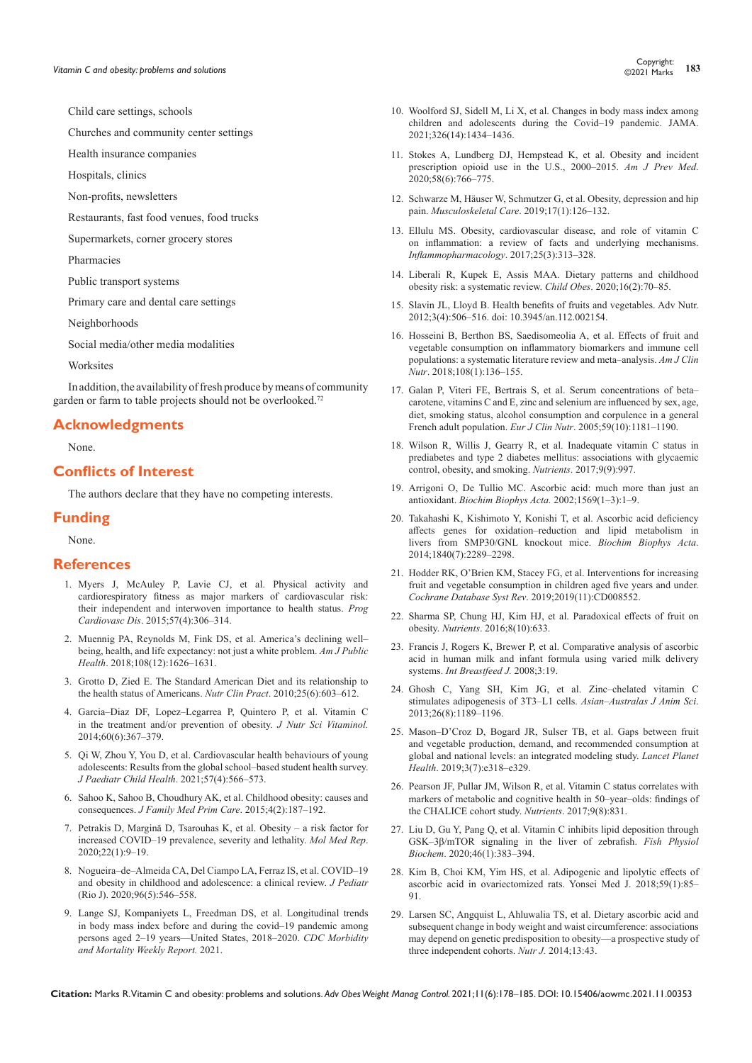Child care settings, schools

Churches and community center settings

Health insurance companies

Hospitals, clinics

Non-profits, newsletters

Restaurants, fast food venues, food trucks

Supermarkets, corner grocery stores

Pharmacies

Public transport systems

Primary care and dental care settings

Neighborhoods

Social media/other media modalities

Worksites

In addition, the availability of fresh produce by means of community garden or farm to table projects should not be overlooked.<sup>72</sup>

### **Acknowledgments**

None.

### **Conflicts of Interest**

The authors declare that they have no competing interests.

### **Funding**

None.

### **References**

- 1. [Myers J, McAuley P, Lavie CJ, et al. Physical activity and](https://pubmed.ncbi.nlm.nih.gov/25269064/)  [cardiorespiratory fitness as major markers of cardiovascular risk:](https://pubmed.ncbi.nlm.nih.gov/25269064/)  [their independent and interwoven importance to health status.](https://pubmed.ncbi.nlm.nih.gov/25269064/) *Prog Cardiovasc Dis*[. 2015;57\(4\):306–314.](https://pubmed.ncbi.nlm.nih.gov/25269064/)
- 2. [Muennig PA, Reynolds M, Fink DS, et al. America's declining well–](https://pubmed.ncbi.nlm.nih.gov/30252522/) [being, health, and life expectancy: not just a white problem.](https://pubmed.ncbi.nlm.nih.gov/30252522/) *Am J Public Health*[. 2018;108\(12\):1626–1631.](https://pubmed.ncbi.nlm.nih.gov/30252522/)
- 3. [Grotto D, Zied E. The Standard American Diet and its relationship to](https://pubmed.ncbi.nlm.nih.gov/21139124/)  [the health status of Americans.](https://pubmed.ncbi.nlm.nih.gov/21139124/) *Nutr Clin Pract*. 2010;25(6):603–612.
- 4. [Garcia–Diaz DF, Lopez–Legarrea P, Quintero P, et al. Vitamin C](https://pubmed.ncbi.nlm.nih.gov/25866299/)  [in the treatment and/or prevention of obesity.](https://pubmed.ncbi.nlm.nih.gov/25866299/) *J Nutr Sci Vitaminol.*  [2014;60\(6\):367–379.](https://pubmed.ncbi.nlm.nih.gov/25866299/)
- 5. [Qi W, Zhou Y, You D, et al. Cardiovascular health behaviours of young](https://pubmed.ncbi.nlm.nih.gov/33486849/)  [adolescents: Results from the global school–based student health survey.](https://pubmed.ncbi.nlm.nih.gov/33486849/)  *[J Paediatr Child Health](https://pubmed.ncbi.nlm.nih.gov/33486849/)*. 2021;57(4):566–573.
- 6. [Sahoo K, Sahoo B, Choudhury AK, et al. Childhood obesity: causes and](https://pubmed.ncbi.nlm.nih.gov/25949965/)  consequences. *[J Family Med Prim Care](https://pubmed.ncbi.nlm.nih.gov/25949965/)*. 2015;4(2):187–192.
- 7. [Petrakis D, Margină D, Tsarouhas K, et al. Obesity](https://pubmed.ncbi.nlm.nih.gov/32377709/) a risk factor for [increased COVID–19 prevalence, severity and lethality.](https://pubmed.ncbi.nlm.nih.gov/32377709/) *Mol Med Rep*. [2020;22\(1\):9–19.](https://pubmed.ncbi.nlm.nih.gov/32377709/)
- 8. [Nogueira–de–Almeida CA, Del Ciampo LA, Ferraz IS, et al. COVID–19](https://pubmed.ncbi.nlm.nih.gov/32768388/)  [and obesity in childhood and adolescence: a clinical review.](https://pubmed.ncbi.nlm.nih.gov/32768388/) *J Pediatr* [\(Rio J\). 2020;96\(5\):546–558.](https://pubmed.ncbi.nlm.nih.gov/32768388/)
- 9. [Lange SJ, Kompaniyets L, Freedman DS, et al. Longitudinal trends](https://pubmed.ncbi.nlm.nih.gov/34529635/)  [in body mass index before and during the covid–19 pandemic among](https://pubmed.ncbi.nlm.nih.gov/34529635/)  [persons aged 2–19 years—United States, 2018–2020.](https://pubmed.ncbi.nlm.nih.gov/34529635/) *CDC Morbidity [and Mortality Weekly Report.](https://pubmed.ncbi.nlm.nih.gov/34529635/)* 2021.
- 10. Woolford SJ, Sidell M, Li X, et al. [Changes in body mass index among](https://pubmed.ncbi.nlm.nih.gov/34448817/)  [children and adolescents during the Covid–19 pandemic.](https://pubmed.ncbi.nlm.nih.gov/34448817/) JAMA. [2021;326\(14\):1434–1436.](https://pubmed.ncbi.nlm.nih.gov/34448817/)
- 11. Stokes A, Lundberg DJ, Hempstead K, et al. Obesity and incident prescription opioid use in the U.S., 2000–2015. *Am J Prev Med*. 2020;58(6):766–775.
- 12. [Schwarze M, Häuser W, Schmutzer G, et al. Obesity, depression and hip](https://pubmed.ncbi.nlm.nih.gov/30623588/)  pain. *Musculoskeletal Care*[. 2019;17\(1\):126–132.](https://pubmed.ncbi.nlm.nih.gov/30623588/)
- 13. [Ellulu MS. Obesity, cardiovascular disease, and role of vitamin C](https://pubmed.ncbi.nlm.nih.gov/28168552/)  [on inflammation: a review of facts and underlying mechanisms.](https://pubmed.ncbi.nlm.nih.gov/28168552/)  *[Inflammopharmacology](https://pubmed.ncbi.nlm.nih.gov/28168552/)*. 2017;25(3):313–328.
- 14. [Liberali R, Kupek E, Assis MAA. Dietary patterns and childhood](https://pubmed.ncbi.nlm.nih.gov/31742427/)  [obesity risk: a systematic review.](https://pubmed.ncbi.nlm.nih.gov/31742427/) *Child Obes*. 2020;16(2):70–85.
- 15. [Slavin JL, Lloyd B. Health benefits of fruits and vegetables. Adv Nutr.](https://pubmed.ncbi.nlm.nih.gov/22797986/)  [2012;3\(4\):506–516. doi: 10.3945/an.112.002154.](https://pubmed.ncbi.nlm.nih.gov/22797986/)
- 16. [Hosseini B, Berthon BS, Saedisomeolia A, et al. Effects of fruit and](https://pubmed.ncbi.nlm.nih.gov/29931038/)  [vegetable consumption on inflammatory biomarkers and immune cell](https://pubmed.ncbi.nlm.nih.gov/29931038/)  [populations: a systematic literature review and meta–analysis.](https://pubmed.ncbi.nlm.nih.gov/29931038/) *Am J Clin Nutr*[. 2018;108\(1\):136–155.](https://pubmed.ncbi.nlm.nih.gov/29931038/)
- 17. [Galan P, Viteri FE, Bertrais S, et al. Serum concentrations of beta–](https://pubmed.ncbi.nlm.nih.gov/16034362/) [carotene, vitamins C and E, zinc and selenium are influenced by sex, age,](https://pubmed.ncbi.nlm.nih.gov/16034362/)  [diet, smoking status, alcohol consumption and corpulence in a general](https://pubmed.ncbi.nlm.nih.gov/16034362/)  French adult population. *Eur J Clin Nutr*[. 2005;59\(10\):1181–1190.](https://pubmed.ncbi.nlm.nih.gov/16034362/)
- 18. [Wilson R, Willis J, Gearry R, et al. Inadequate vitamin C status in](https://pubmed.ncbi.nlm.nih.gov/28891932/)  [prediabetes and type 2 diabetes mellitus: associations with glycaemic](https://pubmed.ncbi.nlm.nih.gov/28891932/)  [control, obesity, and smoking.](https://pubmed.ncbi.nlm.nih.gov/28891932/) *Nutrients*. 2017;9(9):997.
- 19. [Arrigoni O, De Tullio MC. Ascorbic acid: much more than just an](https://pubmed.ncbi.nlm.nih.gov/11853951/)  antioxidant. *[Biochim Biophys Acta.](https://pubmed.ncbi.nlm.nih.gov/11853951/)* 2002;1569(1–3):1–9.
- 20. [Takahashi K, Kishimoto Y, Konishi T, et al. Ascorbic acid deficiency](https://pubmed.ncbi.nlm.nih.gov/24704458/)  [affects genes for oxidation–reduction and lipid metabolism in](https://pubmed.ncbi.nlm.nih.gov/24704458/)  [livers from SMP30/GNL knockout mice.](https://pubmed.ncbi.nlm.nih.gov/24704458/) *Biochim Biophys Acta*. [2014;1840\(7\):2289–2298.](https://pubmed.ncbi.nlm.nih.gov/24704458/)
- 21. [Hodder RK, O'Brien KM, Stacey FG, et al. Interventions for increasing](https://pubmed.ncbi.nlm.nih.gov/32449203/)  [fruit and vegetable consumption in children aged five years and under.](https://pubmed.ncbi.nlm.nih.gov/32449203/)  *[Cochrane Database Syst Rev](https://pubmed.ncbi.nlm.nih.gov/32449203/)*. 2019;2019(11):CD008552.
- 22. [Sharma SP, Chung HJ, Kim HJ, et al. Paradoxical effects of fruit on](https://pubmed.ncbi.nlm.nih.gov/27754404/)  obesity. *Nutrients*[. 2016;8\(10\):633.](https://pubmed.ncbi.nlm.nih.gov/27754404/)
- 23. [Francis J, Rogers K, Brewer P, et al. Comparative analysis of ascorbic](https://pubmed.ncbi.nlm.nih.gov/18694505/)  [acid in human milk and infant formula using varied milk delivery](https://pubmed.ncbi.nlm.nih.gov/18694505/)  systems. *[Int Breastfeed J.](https://pubmed.ncbi.nlm.nih.gov/18694505/)* 2008;3:19.
- 24. [Ghosh C, Yang SH, Kim JG, et al. Zinc–chelated vitamin C](https://pubmed.ncbi.nlm.nih.gov/25049900/)  [stimulates adipogenesis of 3T3–L1 cells.](https://pubmed.ncbi.nlm.nih.gov/25049900/) *Asian–Australas J Anim Sci*. [2013;26\(8\):1189–1196.](https://pubmed.ncbi.nlm.nih.gov/25049900/)
- 25. [Mason–D'Croz D, Bogard JR, Sulser TB, et al. Gaps between fruit](https://pubmed.ncbi.nlm.nih.gov/31326072/)  [and vegetable production, demand, and recommended consumption at](https://pubmed.ncbi.nlm.nih.gov/31326072/)  [global and national levels: an integrated modeling study.](https://pubmed.ncbi.nlm.nih.gov/31326072/) *Lancet Planet Health*[. 2019;3\(7\):e318–e329.](https://pubmed.ncbi.nlm.nih.gov/31326072/)
- 26. [Pearson JF, Pullar JM, Wilson R, et al. Vitamin C status correlates with](https://pubmed.ncbi.nlm.nih.gov/28771190/)  [markers of metabolic and cognitive health in 50–year–olds: findings of](https://pubmed.ncbi.nlm.nih.gov/28771190/)  [the CHALICE cohort study.](https://pubmed.ncbi.nlm.nih.gov/28771190/) *Nutrients*. 2017;9(8):831.
- 27. [Liu D, Gu Y, Pang Q, et al. Vitamin C inhibits lipid deposition through](https://pubmed.ncbi.nlm.nih.gov/31782040/)  [GSK–3β/mTOR signaling in the liver of zebrafish.](https://pubmed.ncbi.nlm.nih.gov/31782040/) *Fish Physiol Biochem*[. 2020;46\(1\):383–394.](https://pubmed.ncbi.nlm.nih.gov/31782040/)
- 28. [Kim B, Choi KM, Yim HS, et al. Adipogenic and lipolytic effects of](https://synapse.koreamed.org/upload/SynapseData/PDFData/0069ymj/ymj-59-85.pdf)  [ascorbic acid in ovariectomized rats. Yonsei Med J. 2018;59\(1\):85–](https://synapse.koreamed.org/upload/SynapseData/PDFData/0069ymj/ymj-59-85.pdf) [91.](https://synapse.koreamed.org/upload/SynapseData/PDFData/0069ymj/ymj-59-85.pdf)
- 29. [Larsen SC, Angquist L, Ahluwalia TS, et al. Dietary ascorbic acid and](https://pubmed.ncbi.nlm.nih.gov/24886192/)  [subsequent change in body weight and waist circumference: associations](https://pubmed.ncbi.nlm.nih.gov/24886192/)  [may depend on genetic predisposition to obesity––a prospective study of](https://pubmed.ncbi.nlm.nih.gov/24886192/)  [three independent cohorts.](https://pubmed.ncbi.nlm.nih.gov/24886192/) *Nutr J.* 2014;13:43.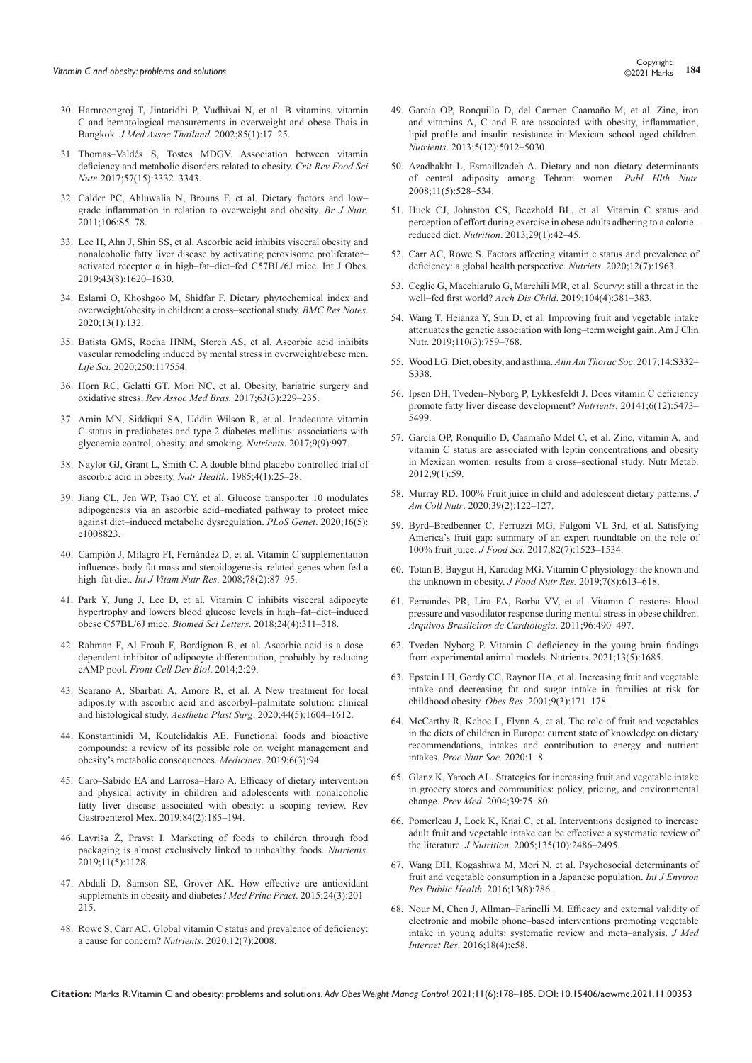- 30. [Harnroongroj T, Jintaridhi P, Vudhivai N, et al. B vitamins, vitamin](https://pubmed.ncbi.nlm.nih.gov/12075716/)  [C and hematological measurements in overweight and obese Thais in](https://pubmed.ncbi.nlm.nih.gov/12075716/)  Bangkok. *[J Med Assoc Thailand.](https://pubmed.ncbi.nlm.nih.gov/12075716/)* 2002;85(1):17–25.
- 31. [Thomas–Valdés S, Tostes MDGV. Association between vitamin](https://pubmed.ncbi.nlm.nih.gov/26745150/)  [deficiency and metabolic disorders related to obesity.](https://pubmed.ncbi.nlm.nih.gov/26745150/) *Crit Rev Food Sci Nutr.* [2017;57\(15\):3332–3343.](https://pubmed.ncbi.nlm.nih.gov/26745150/)
- 32. [Calder PC, Ahluwalia N, Brouns F, et al. Dietary factors and low–](https://pubmed.ncbi.nlm.nih.gov/22133051/) [grade inflammation in relation to overweight and obesity.](https://pubmed.ncbi.nlm.nih.gov/22133051/) *Br J Nutr*. [2011;106:S5–78.](https://pubmed.ncbi.nlm.nih.gov/22133051/)
- 33. [Lee H, Ahn J, Shin SS, et al. Ascorbic acid inhibits visceral obesity and](https://pubmed.ncbi.nlm.nih.gov/30283077/)  [nonalcoholic fatty liver disease by activating peroxisome proliferator–](https://pubmed.ncbi.nlm.nih.gov/30283077/) [activated receptor α in high–fat–diet–fed C57BL/6J mice. Int J Obes.](https://pubmed.ncbi.nlm.nih.gov/30283077/)  [2019;43\(8\):1620–1630.](https://pubmed.ncbi.nlm.nih.gov/30283077/)
- 34. [Eslami O, Khoshgoo M, Shidfar F. Dietary phytochemical index and](https://pubmed.ncbi.nlm.nih.gov/32138761/)  [overweight/obesity in children: a cross–sectional study.](https://pubmed.ncbi.nlm.nih.gov/32138761/) *BMC Res Notes*. [2020;13\(1\):132.](https://pubmed.ncbi.nlm.nih.gov/32138761/)
- 35. [Batista GMS, Rocha HNM, Storch AS, et al. Ascorbic acid inhibits](https://pubmed.ncbi.nlm.nih.gov/32184123/)  [vascular remodeling induced by mental stress in overweight/obese men.](https://pubmed.ncbi.nlm.nih.gov/32184123/)  *Life Sci.* [2020;250:117554.](https://pubmed.ncbi.nlm.nih.gov/32184123/)
- 36. [Horn RC, Gelatti GT, Mori NC, et al. Obesity, bariatric surgery and](https://www.scielo.br/j/ramb/a/9TKwnzpNV8nY4DWcWyst66s/)  oxidative stress. *Rev Assoc Med Bras.* [2017;63\(3\):229–235.](https://www.scielo.br/j/ramb/a/9TKwnzpNV8nY4DWcWyst66s/)
- 37. [Amin MN, Siddiqui SA, Uddin Wilson R, et al. Inadequate vitamin](https://pubmed.ncbi.nlm.nih.gov/28891932/)  [C status in prediabetes and type 2 diabetes mellitus: associations with](https://pubmed.ncbi.nlm.nih.gov/28891932/)  [glycaemic control, obesity, and smoking.](https://pubmed.ncbi.nlm.nih.gov/28891932/) *Nutrients*. 2017;9(9):997.
- 38. [Naylor GJ, Grant L, Smith C. A double blind placebo controlled trial of](https://pubmed.ncbi.nlm.nih.gov/3914623/)  [ascorbic acid in obesity.](https://pubmed.ncbi.nlm.nih.gov/3914623/) *Nutr Health.* 1985;4(1):25–28.
- 39. [Jiang CL, Jen WP, Tsao CY, et al. Glucose transporter 10 modulates](https://pubmed.ncbi.nlm.nih.gov/32453789/)  [adipogenesis via an ascorbic acid–mediated pathway to protect mice](https://pubmed.ncbi.nlm.nih.gov/32453789/)  [against diet–induced metabolic dysregulation.](https://pubmed.ncbi.nlm.nih.gov/32453789/) *PLoS Genet*. 2020;16(5): [e1008823.](https://pubmed.ncbi.nlm.nih.gov/32453789/)
- 40. [Campión J, Milagro FI, Fernández D, et al. Vitamin C supplementation](https://pubmed.ncbi.nlm.nih.gov/18791977/)  [influences body fat mass and steroidogenesis–related genes when fed a](https://pubmed.ncbi.nlm.nih.gov/18791977/)  high–fat diet. *[Int J Vitam Nutr Res](https://pubmed.ncbi.nlm.nih.gov/18791977/)*. 2008;78(2):87–95.
- 41. Park Y, Jung J, Lee D, et al. Vitamin C inhibits visceral adipocyte hypertrophy and lowers blood glucose levels in high–fat–diet–induced obese C57BL/6J mice. *Biomed Sci Letters*. 2018;24(4):311–318.
- 42. [Rahman F, Al Frouh F, Bordignon B, et al. Ascorbic acid is a dose–](https://pubmed.ncbi.nlm.nih.gov/25364736/) [dependent inhibitor of adipocyte differentiation, probably by reducing](https://pubmed.ncbi.nlm.nih.gov/25364736/)  cAMP pool. *[Front Cell Dev Biol](https://pubmed.ncbi.nlm.nih.gov/25364736/)*. 2014;2:29.
- 43. [Scarano A, Sbarbati A, Amore R, et al. A New treatment for local](https://pubmed.ncbi.nlm.nih.gov/32803279/)  [adiposity with ascorbic acid and ascorbyl–palmitate solution: clinical](https://pubmed.ncbi.nlm.nih.gov/32803279/)  and histological study. *Aesthetic Plast Surg*[. 2020;44\(5\):1604–1612.](https://pubmed.ncbi.nlm.nih.gov/32803279/)
- 44. [Konstantinidi M, Koutelidakis AE. Functional foods and bioactive](https://pubmed.ncbi.nlm.nih.gov/31505825/)  [compounds: a review of its possible role on weight management and](https://pubmed.ncbi.nlm.nih.gov/31505825/)  [obesity's metabolic consequences.](https://pubmed.ncbi.nlm.nih.gov/31505825/) *Medicines*. 2019;6(3):94.
- 45. [Caro–Sabido EA and Larrosa–Haro A. Efficacy of dietary intervention](https://pubmed.ncbi.nlm.nih.gov/31101468/)  [and physical activity in children and adolescents with nonalcoholic](https://pubmed.ncbi.nlm.nih.gov/31101468/)  [fatty liver disease associated with obesity: a scoping review. Rev](https://pubmed.ncbi.nlm.nih.gov/31101468/)  [Gastroenterol Mex. 2019;84\(2\):185–194.](https://pubmed.ncbi.nlm.nih.gov/31101468/)
- 46. [Lavriša Ž, Pravst I. Marketing of foods to children through food](https://pubmed.ncbi.nlm.nih.gov/31101468/)  [packaging is almost exclusively linked to unhealthy foods.](https://pubmed.ncbi.nlm.nih.gov/31101468/) *Nutrients*. [2019;11\(5\):1128.](https://pubmed.ncbi.nlm.nih.gov/31101468/)
- 47. [Abdali D, Samson SE, Grover AK. How effective are antioxidant](https://pubmed.ncbi.nlm.nih.gov/25791371/)  [supplements in obesity and diabetes?](https://pubmed.ncbi.nlm.nih.gov/25791371/) *Med Princ Pract*. 2015;24(3):201– [215.](https://pubmed.ncbi.nlm.nih.gov/25791371/)
- 48. [Rowe S, Carr AC. Global vitamin C status and prevalence of deficiency:](https://pubmed.ncbi.nlm.nih.gov/32640674/)  [a cause for concern?](https://pubmed.ncbi.nlm.nih.gov/32640674/) *Nutrients*. 2020;12(7):2008.
- 49. [García OP, Ronquillo D, del Carmen Caamaño M, et al. Zinc, iron](https://pubmed.ncbi.nlm.nih.gov/24335710/)  [and vitamins A, C and E are associated with obesity, inflammation,](https://pubmed.ncbi.nlm.nih.gov/24335710/)  [lipid profile and insulin resistance in Mexican school–aged children.](https://pubmed.ncbi.nlm.nih.gov/24335710/)  *Nutrients*[. 2013;5\(12\):5012–5030.](https://pubmed.ncbi.nlm.nih.gov/24335710/)
- 50. [Azadbakht L, Esmaillzadeh A. Dietary and non–dietary determinants](https://pubmed.ncbi.nlm.nih.gov/17764604/)  [of central adiposity among Tehrani women.](https://pubmed.ncbi.nlm.nih.gov/17764604/) *Publ Hlth Nutr.* [2008;11\(5\):528–534.](https://pubmed.ncbi.nlm.nih.gov/17764604/)
- 51. Huck CJ, Johnston CS, Beezhold BL, et al. Vitamin C status and perception of effort during exercise in obese adults adhering to a calorie– reduced diet. *Nutrition*. 2013;29(1):42–45.
- 52. [Carr AC, Rowe S. Factors affecting vitamin c status and prevalence of](https://pubmed.ncbi.nlm.nih.gov/32630245/)  [deficiency: a global health perspective.](https://pubmed.ncbi.nlm.nih.gov/32630245/) *Nutriets*. 2020;12(7):1963.
- 53. [Ceglie G, Macchiarulo G, Marchili MR, et al. Scurvy: still a threat in the](https://pubmed.ncbi.nlm.nih.gov/30087152/)  well–fed first world? *Arch Dis Child*[. 2019;104\(4\):381–383.](https://pubmed.ncbi.nlm.nih.gov/30087152/)
- 54. [Wang T, Heianza Y, Sun D, et al. Improving fruit and vegetable intake](https://pubmed.ncbi.nlm.nih.gov/31301130/)  [attenuates the genetic association with long–term weight gain. Am J Clin](https://pubmed.ncbi.nlm.nih.gov/31301130/)  Nutr. 2019;110(3):759-768.
- 55. Wood LG. Diet, obesity, and asthma. *Ann Am Thorac Soc*. 2017;14:S332– S338.
- 56. [Ipsen DH, Tveden–Nyborg P, Lykkesfeldt J. Does vitamin C deficiency](https://pubmed.ncbi.nlm.nih.gov/25533004/)  [promote fatty liver disease development?](https://pubmed.ncbi.nlm.nih.gov/25533004/) *Nutrients.* 20141;6(12):5473– [5499.](https://pubmed.ncbi.nlm.nih.gov/25533004/)
- 57. [García OP, Ronquillo D, Caamaño Mdel C, et al. Zinc, vitamin A, and](https://nutritionandmetabolism.biomedcentral.com/articles/10.1186/1743-7075-9-59)  [vitamin C status are associated with leptin concentrations and obesity](https://nutritionandmetabolism.biomedcentral.com/articles/10.1186/1743-7075-9-59)  [in Mexican women: results from a cross–sectional study. Nutr Metab.](https://nutritionandmetabolism.biomedcentral.com/articles/10.1186/1743-7075-9-59)  [2012;9\(1\):59.](https://nutritionandmetabolism.biomedcentral.com/articles/10.1186/1743-7075-9-59)
- 58. [Murray RD. 100% Fruit juice in child and adolescent dietary patterns.](https://pubmed.ncbi.nlm.nih.gov/31318659/) *J Am Coll Nutr*[. 2020;39\(2\):122–127.](https://pubmed.ncbi.nlm.nih.gov/31318659/)
- 59. [Byrd–Bredbenner C, Ferruzzi MG, Fulgoni VL 3rd, et al. Satisfying](https://pubmed.ncbi.nlm.nih.gov/28585690/)  [America's fruit gap: summary of an expert roundtable on the role of](https://pubmed.ncbi.nlm.nih.gov/28585690/)  100% fruit juice. *J Food Sci*[. 2017;82\(7\):1523–1534.](https://pubmed.ncbi.nlm.nih.gov/28585690/)
- 60. [Totan B, Baygut H, Karadag MG. Vitamin C physiology: the known and](http://pubs.sciepub.com/jfnr/7/8/9/index.html)  [the unknown in obesity.](http://pubs.sciepub.com/jfnr/7/8/9/index.html) *J Food Nutr Res.* 2019;7(8):613–618.
- 61. [Fernandes PR, Lira FA, Borba VV, et al. Vitamin C restores blood](https://www.scielo.br/j/abc/a/p6TbFGC7Xv9Hgx4bYHVDcyr/?lang=en)  [pressure and vasodilator response during mental stress in obese children.](https://www.scielo.br/j/abc/a/p6TbFGC7Xv9Hgx4bYHVDcyr/?lang=en)  *[Arquivos Brasileiros de Cardiologia](https://www.scielo.br/j/abc/a/p6TbFGC7Xv9Hgx4bYHVDcyr/?lang=en)*. 2011;96:490–497.
- 62. [Tveden–Nyborg P. Vitamin C deficiency in the young brain–findings](https://www.mdpi.com/2072-6643/13/5/1685)  [from experimental animal models. Nutrients. 2021;13\(5\):1685.](https://www.mdpi.com/2072-6643/13/5/1685)
- 63. [Epstein LH, Gordy CC, Raynor HA, et al. Increasing fruit and vegetable](https://pubmed.ncbi.nlm.nih.gov/11323442/)  [intake and decreasing fat and sugar intake in families at risk for](https://pubmed.ncbi.nlm.nih.gov/11323442/)  childhood obesity. *Obes Res*[. 2001;9\(3\):171–178.](https://pubmed.ncbi.nlm.nih.gov/11323442/)
- 64. [McCarthy R, Kehoe L, Flynn A, et al. The role of fruit and vegetables](https://pubmed.ncbi.nlm.nih.gov/32641185/)  [in the diets of children in Europe: current state of knowledge on dietary](https://pubmed.ncbi.nlm.nih.gov/32641185/)  [recommendations, intakes and contribution to energy and nutrient](https://pubmed.ncbi.nlm.nih.gov/32641185/)  intakes. *[Proc Nutr Soc.](https://pubmed.ncbi.nlm.nih.gov/32641185/)* 2020:1–8.
- 65. [Glanz K, Yaroch AL. Strategies for increasing fruit and vegetable intake](https://www.sciencedirect.com/science/article/abs/pii/S0091743504000209)  [in grocery stores and communities: policy, pricing, and environmental](https://www.sciencedirect.com/science/article/abs/pii/S0091743504000209)  change. *Prev Med*[. 2004;39:75–80.](https://www.sciencedirect.com/science/article/abs/pii/S0091743504000209)
- 66. [Pomerleau J, Lock K, Knai C, et al. Interventions designed to increase](https://pubmed.ncbi.nlm.nih.gov/16177217/)  [adult fruit and vegetable intake can be effective: a systematic review of](https://pubmed.ncbi.nlm.nih.gov/16177217/)  the literature*. J Nutrition*[. 2005;135\(10\):2486–2495.](https://pubmed.ncbi.nlm.nih.gov/16177217/)
- 67. [Wang DH, Kogashiwa M, Mori N, et al. Psychosocial determinants of](https://pubmed.ncbi.nlm.nih.gov/27527198/)  [fruit and vegetable consumption in a Japanese population.](https://pubmed.ncbi.nlm.nih.gov/27527198/) *Int J Environ [Res Public Health.](https://pubmed.ncbi.nlm.nih.gov/27527198/)* 2016;13(8):786.
- 68. [Nour M, Chen J, Allman–Farinelli M. Efficacy and external validity of](https://pubmed.ncbi.nlm.nih.gov/27059765/)  [electronic and mobile phone–based interventions promoting vegetable](https://pubmed.ncbi.nlm.nih.gov/27059765/)  [intake in young adults: systematic review and meta–analysis.](https://pubmed.ncbi.nlm.nih.gov/27059765/) *J Med Internet Res*[. 2016;18\(4\):e58.](https://pubmed.ncbi.nlm.nih.gov/27059765/)